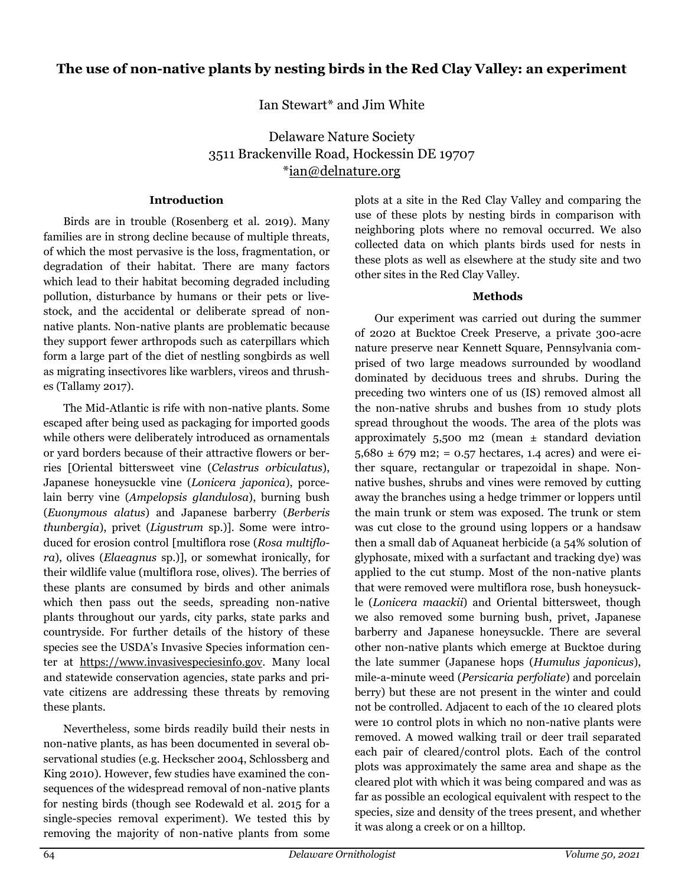Ian Stewart\* and Jim White

Delaware Nature Society 3511 Brackenville Road, Hockessin DE 19707 \*ian@delnature.org

# Introduction

Birds are in trouble (Rosenberg et al. 2019). Many families are in strong decline because of multiple threats, of which the most pervasive is the loss, fragmentation, or degradation of their habitat. There are many factors which lead to their habitat becoming degraded including pollution, disturbance by humans or their pets or livestock, and the accidental or deliberate spread of nonnative plants. Non-native plants are problematic because they support fewer arthropods such as caterpillars which form a large part of the diet of nestling songbirds as well as migrating insectivores like warblers, vireos and thrushes (Tallamy 2017).

The Mid-Atlantic is rife with non-native plants. Some escaped after being used as packaging for imported goods while others were deliberately introduced as ornamentals or yard borders because of their attractive flowers or berries [Oriental bittersweet vine (Celastrus orbiculatus), Japanese honeysuckle vine (Lonicera japonica), porcelain berry vine (Ampelopsis glandulosa), burning bush (Euonymous alatus) and Japanese barberry (Berberis thunbergia), privet (Ligustrum sp.)]. Some were introduced for erosion control [multiflora rose (Rosa multiflora), olives (Elaeagnus sp.)], or somewhat ironically, for their wildlife value (multiflora rose, olives). The berries of these plants are consumed by birds and other animals which then pass out the seeds, spreading non-native plants throughout our yards, city parks, state parks and countryside. For further details of the history of these species see the USDA's Invasive Species information center at https://www.invasivespeciesinfo.gov. Many local and statewide conservation agencies, state parks and private citizens are addressing these threats by removing these plants.

Nevertheless, some birds readily build their nests in non-native plants, as has been documented in several observational studies (e.g. Heckscher 2004, Schlossberg and King 2010). However, few studies have examined the consequences of the widespread removal of non-native plants for nesting birds (though see Rodewald et al. 2015 for a single-species removal experiment). We tested this by removing the majority of non-native plants from some

plots at a site in the Red Clay Valley and comparing the use of these plots by nesting birds in comparison with neighboring plots where no removal occurred. We also collected data on which plants birds used for nests in these plots as well as elsewhere at the study site and two other sites in the Red Clay Valley.

# Methods

Our experiment was carried out during the summer of 2020 at Bucktoe Creek Preserve, a private 300-acre nature preserve near Kennett Square, Pennsylvania comprised of two large meadows surrounded by woodland dominated by deciduous trees and shrubs. During the preceding two winters one of us (IS) removed almost all the non-native shrubs and bushes from 10 study plots spread throughout the woods. The area of the plots was approximately  $5,500$  m2 (mean  $\pm$  standard deviation  $5,680 \pm 679$  m2; = 0.57 hectares, 1.4 acres) and were either square, rectangular or trapezoidal in shape. Nonnative bushes, shrubs and vines were removed by cutting away the branches using a hedge trimmer or loppers until the main trunk or stem was exposed. The trunk or stem was cut close to the ground using loppers or a handsaw then a small dab of Aquaneat herbicide (a 54% solution of glyphosate, mixed with a surfactant and tracking dye) was applied to the cut stump. Most of the non-native plants that were removed were multiflora rose, bush honeysuckle (Lonicera maackii) and Oriental bittersweet, though we also removed some burning bush, privet, Japanese barberry and Japanese honeysuckle. There are several other non-native plants which emerge at Bucktoe during the late summer (Japanese hops (Humulus japonicus), mile-a-minute weed (Persicaria perfoliate) and porcelain berry) but these are not present in the winter and could not be controlled. Adjacent to each of the 10 cleared plots were 10 control plots in which no non-native plants were removed. A mowed walking trail or deer trail separated each pair of cleared/control plots. Each of the control plots was approximately the same area and shape as the cleared plot with which it was being compared and was as far as possible an ecological equivalent with respect to the species, size and density of the trees present, and whether it was along a creek or on a hilltop.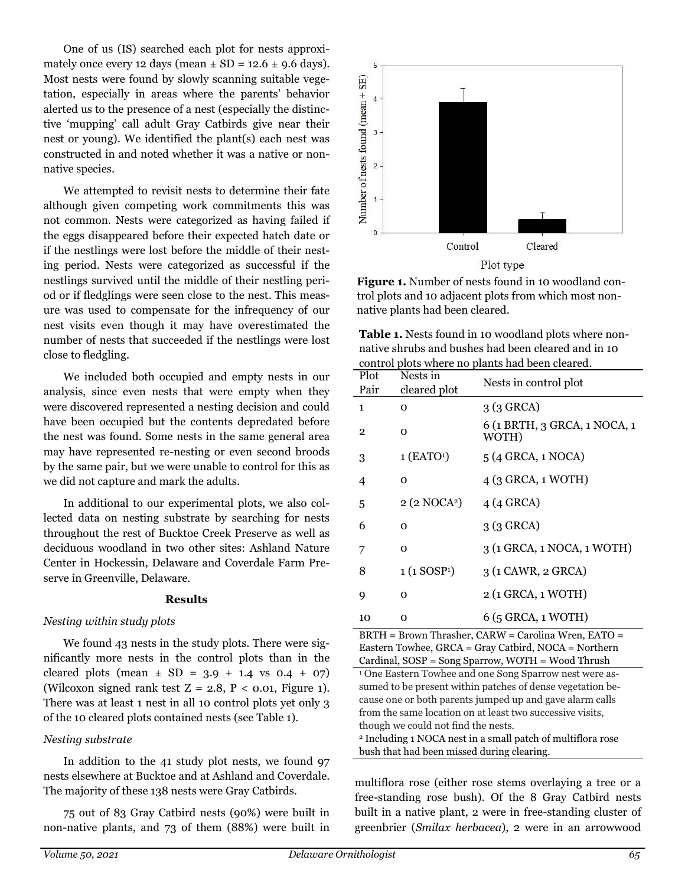One of us (IS) searched each plot for nests approximately once every 12 days (mean  $\pm$  SD = 12.6  $\pm$  9.6 days). Most nests were found by slowly scanning suitable vegetation, especially in areas where the parents' behavior alerted us to the presence of a nest (especially the distinctive 'mupping' call adult Gray Catbirds give near their nest or young). We identified the plant(s) each nest was constructed in and noted whether it was a native or nonnative species.

We attempted to revisit nests to determine their fate although given competing work commitments this was not common. Nests were categorized as having failed if the eggs disappeared before their expected hatch date or if the nestlings were lost before the middle of their nesting period. Nests were categorized as successful if the nestlings survived until the middle of their nestling period or if fledglings were seen close to the nest. This measure was used to compensate for the infrequency of our nest visits even though it may have overestimated the number of nests that succeeded if the nestlings were lost close to fledgling.

We included both occupied and empty nests in our analysis, since even nests that were empty when they were discovered represented a nesting decision and could have been occupied but the contents depredated before the nest was found. Some nests in the same general area may have represented re-nesting or even second broods by the same pair, but we were unable to control for this as we did not capture and mark the adults.

In additional to our experimental plots, we also collected data on nesting substrate by searching for nests throughout the rest of Bucktoe Creek Preserve as well as deciduous woodland in two other sites: Ashland Nature Center in Hockessin, Delaware and Coverdale Farm Preserve in Greenville, Delaware.

#### Results

### Nesting within study plots

We found 43 nests in the study plots. There were significantly more nests in the control plots than in the cleared plots (mean  $\pm$  SD = 3.9 + 1.4 vs 0.4 + 07) (Wilcoxon signed rank test  $Z = 2.8$ ,  $P < 0.01$ , Figure 1). There was at least 1 nest in all 10 control plots yet only 3 of the 10 cleared plots contained nests (see Table 1).

### Nesting substrate

In addition to the 41 study plot nests, we found 97 nests elsewhere at Bucktoe and at Ashland and Coverdale. The majority of these 138 nests were Gray Catbirds.

75 out of 83 Gray Catbird nests (90%) were built in non-native plants, and 73 of them (88%) were built in



Figure 1. Number of nests found in 10 woodland control plots and 10 adjacent plots from which most nonnative plants had been cleared.

| <b>Table 1.</b> Nests found in 10 woodland plots where non- |
|-------------------------------------------------------------|
| native shrubs and bushes had been cleared and in 10         |
| control plots where no plants had been cleared.             |

| Plot           | Nests in                 | control plots where no plants had been cleared.<br>Nests in control plot |  |  |
|----------------|--------------------------|--------------------------------------------------------------------------|--|--|
| Pair           | cleared plot             |                                                                          |  |  |
| $\mathbf{1}$   | $\Omega$                 | $3(3$ GRCA)                                                              |  |  |
| $\overline{2}$ | 0                        | 6 (1 BRTH, 3 GRCA, 1 NOCA, 1<br>WOTH)                                    |  |  |
| 3              | $1$ (EATO <sup>1</sup> ) | 5 (4 GRCA, 1 NOCA)                                                       |  |  |
| 4              | 0                        | 4 (3 GRCA, 1 WOTH)                                                       |  |  |
| 5              | 2 (2 NOCA <sup>2</sup> ) | $4(4$ GRCA)                                                              |  |  |
| 6              | $\Omega$                 | $3(3$ GRCA)                                                              |  |  |
| 7              | 0                        | 3 (1 GRCA, 1 NOCA, 1 WOTH)                                               |  |  |
| 8              | 1(1 SOSP <sup>1</sup> )  | 3 (1 CAWR, 2 GRCA)                                                       |  |  |
| 9              | $\Omega$                 | 2 (1 GRCA, 1 WOTH)                                                       |  |  |
| 10             | O                        | 6 (5 GRCA, 1 WOTH)                                                       |  |  |

BRTH = Brown Thrasher, CARW = Carolina Wren, EATO = Eastern Towhee, GRCA = Gray Catbird, NOCA = Northern Cardinal, SOSP = Song Sparrow, WOTH = Wood Thrush

<sup>1</sup> One Eastern Towhee and one Song Sparrow nest were assumed to be present within patches of dense vegetation because one or both parents jumped up and gave alarm calls from the same location on at least two successive visits, though we could not find the nests.

<sup>2</sup> Including 1 NOCA nest in a small patch of multiflora rose bush that had been missed during clearing.

multiflora rose (either rose stems overlaying a tree or a free-standing rose bush). Of the 8 Gray Catbird nests built in a native plant, 2 were in free-standing cluster of greenbrier (Smilax herbacea), 2 were in an arrowwood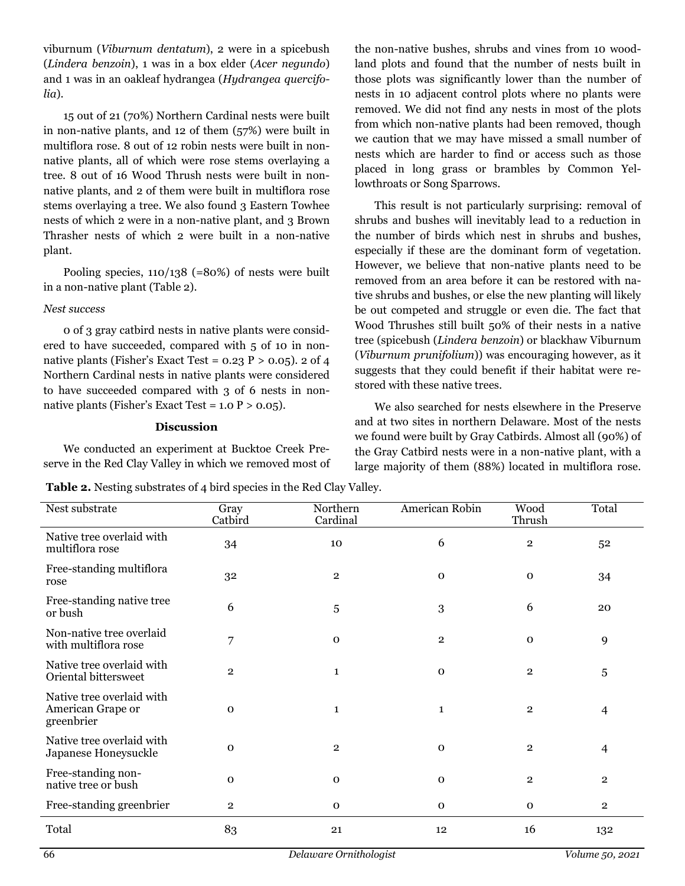viburnum (Viburnum dentatum), 2 were in a spicebush (Lindera benzoin), 1 was in a box elder (Acer negundo) and 1 was in an oakleaf hydrangea (Hydrangea quercifolia).

15 out of 21 (70%) Northern Cardinal nests were built in non-native plants, and 12 of them (57%) were built in multiflora rose. 8 out of 12 robin nests were built in nonnative plants, all of which were rose stems overlaying a tree. 8 out of 16 Wood Thrush nests were built in nonnative plants, and 2 of them were built in multiflora rose stems overlaying a tree. We also found 3 Eastern Towhee nests of which 2 were in a non-native plant, and 3 Brown Thrasher nests of which 2 were built in a non-native plant.

Pooling species,  $110/138$  (=80%) of nests were built in a non-native plant (Table 2).

### Nest success

0 of 3 gray catbird nests in native plants were considered to have succeeded, compared with 5 of 10 in nonnative plants (Fisher's Exact Test =  $0.23$  P  $> 0.05$ ). 2 of 4 Northern Cardinal nests in native plants were considered to have succeeded compared with 3 of 6 nests in nonnative plants (Fisher's Exact Test =  $1.0$  P >  $0.05$ ).

### Discussion

We conducted an experiment at Bucktoe Creek Preserve in the Red Clay Valley in which we removed most of

Table 2. Nesting substrates of 4 bird species in the Red Clay Valley.

the non-native bushes, shrubs and vines from 10 woodland plots and found that the number of nests built in those plots was significantly lower than the number of nests in 10 adjacent control plots where no plants were removed. We did not find any nests in most of the plots from which non-native plants had been removed, though we caution that we may have missed a small number of nests which are harder to find or access such as those placed in long grass or brambles by Common Yellowthroats or Song Sparrows.

This result is not particularly surprising: removal of shrubs and bushes will inevitably lead to a reduction in the number of birds which nest in shrubs and bushes, especially if these are the dominant form of vegetation. However, we believe that non-native plants need to be removed from an area before it can be restored with native shrubs and bushes, or else the new planting will likely be out competed and struggle or even die. The fact that Wood Thrushes still built 50% of their nests in a native tree (spicebush (Lindera benzoin) or blackhaw Viburnum (Viburnum prunifolium)) was encouraging however, as it suggests that they could benefit if their habitat were restored with these native trees.

We also searched for nests elsewhere in the Preserve and at two sites in northern Delaware. Most of the nests we found were built by Gray Catbirds. Almost all (90%) of the Gray Catbird nests were in a non-native plant, with a large majority of them (88%) located in multiflora rose.

| Nest substrate                                               | Gray<br>Catbird | Northern<br>Cardinal | American Robin | Wood<br>Thrush | Total          |
|--------------------------------------------------------------|-----------------|----------------------|----------------|----------------|----------------|
| Native tree overlaid with<br>multiflora rose                 | 34              | 10                   | 6              | $\mathbf 2$    | 52             |
| Free-standing multiflora<br>rose                             | 32              | $\mathbf{2}$         | $\mathbf 0$    | $\mathbf 0$    | 34             |
| Free-standing native tree<br>or bush                         | 6               | 5                    | 3              | 6              | 20             |
| Non-native tree overlaid<br>with multiflora rose             | 7               | $\mathbf 0$          | $\overline{2}$ | $\mathbf 0$    | 9              |
| Native tree overlaid with<br>Oriental bittersweet            | $\overline{2}$  | $\mathbf{1}$         | $\mathbf 0$    | $\mathbf{2}$   | $\overline{5}$ |
| Native tree overlaid with<br>American Grape or<br>greenbrier | $\mathbf{O}$    | $\mathbf{1}$         | $\mathbf{1}$   | $\mathbf{2}$   | $\overline{4}$ |
| Native tree overlaid with<br>Japanese Honeysuckle            | $\mathbf{O}$    | $\,2$                | $\mathbf 0$    | $\mathbf 2$    | $\overline{4}$ |
| Free-standing non-<br>native tree or bush                    | $\mathbf 0$     | $\mathbf 0$          | $\mathbf 0$    | $\mathbf{2}$   | $\overline{2}$ |
| Free-standing greenbrier                                     | $\overline{2}$  | $\mathbf 0$          | $\Omega$       | $\mathbf{O}$   | $\overline{2}$ |
| Total                                                        | 83              | 21                   | 12             | 16             | 132            |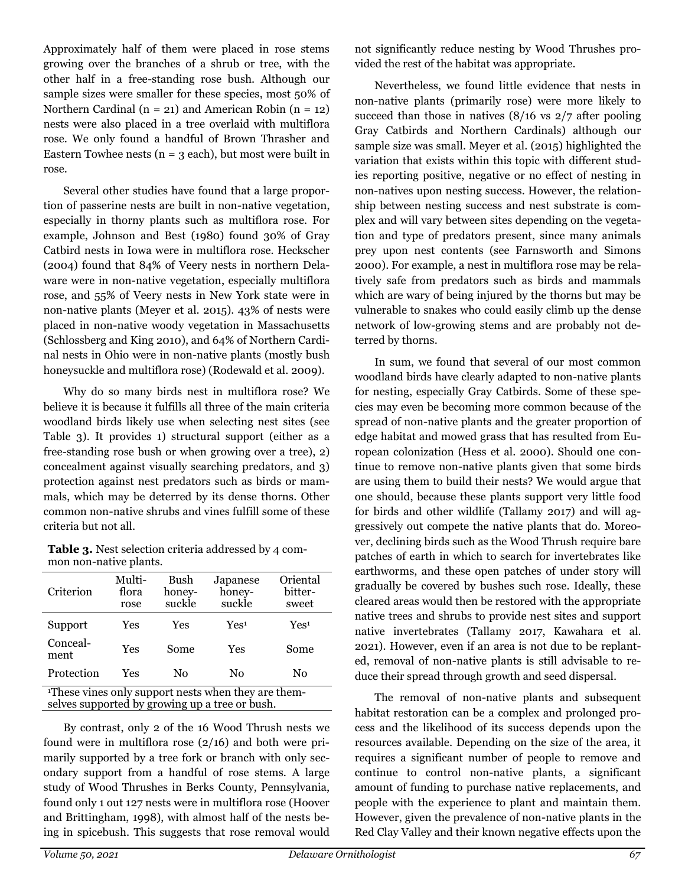Approximately half of them were placed in rose stems growing over the branches of a shrub or tree, with the other half in a free-standing rose bush. Although our sample sizes were smaller for these species, most 50% of Northern Cardinal ( $n = 21$ ) and American Robin ( $n = 12$ ) nests were also placed in a tree overlaid with multiflora rose. We only found a handful of Brown Thrasher and Eastern Towhee nests ( $n = 3$  each), but most were built in rose.

Several other studies have found that a large proportion of passerine nests are built in non-native vegetation, especially in thorny plants such as multiflora rose. For example, Johnson and Best (1980) found 30% of Gray Catbird nests in Iowa were in multiflora rose. Heckscher (2004) found that 84% of Veery nests in northern Delaware were in non-native vegetation, especially multiflora rose, and 55% of Veery nests in New York state were in non-native plants (Meyer et al. 2015). 43% of nests were placed in non-native woody vegetation in Massachusetts (Schlossberg and King 2010), and 64% of Northern Cardinal nests in Ohio were in non-native plants (mostly bush honeysuckle and multiflora rose) (Rodewald et al. 2009).

Why do so many birds nest in multiflora rose? We believe it is because it fulfills all three of the main criteria woodland birds likely use when selecting nest sites (see Table 3). It provides 1) structural support (either as a free-standing rose bush or when growing over a tree), 2) concealment against visually searching predators, and 3) protection against nest predators such as birds or mammals, which may be deterred by its dense thorns. Other common non-native shrubs and vines fulfill some of these criteria but not all.

Table 3. Nest selection criteria addressed by 4 common non-native plants.

| Criterion                                                       | Multi-<br>flora<br>rose | Bush<br>honey-<br>suckle | Japanese<br>honey-<br>suckle | Oriental<br>bitter-<br>sweet |  |  |
|-----------------------------------------------------------------|-------------------------|--------------------------|------------------------------|------------------------------|--|--|
| Support                                                         | Yes                     | Yes                      | Yes <sup>1</sup>             | Yes <sup>1</sup>             |  |  |
| Conceal-<br>ment                                                | Yes                     | Some                     | Yes                          | Some                         |  |  |
| Protection                                                      | Yes                     | No                       | No                           | No                           |  |  |
| <sup>1</sup> These vines only support nests when they are them- |                         |                          |                              |                              |  |  |

selves supported by growing up a tree or bush.

By contrast, only 2 of the 16 Wood Thrush nests we found were in multiflora rose (2/16) and both were primarily supported by a tree fork or branch with only secondary support from a handful of rose stems. A large study of Wood Thrushes in Berks County, Pennsylvania, found only 1 out 127 nests were in multiflora rose (Hoover and Brittingham, 1998), with almost half of the nests being in spicebush. This suggests that rose removal would

not significantly reduce nesting by Wood Thrushes provided the rest of the habitat was appropriate.

Nevertheless, we found little evidence that nests in non-native plants (primarily rose) were more likely to succeed than those in natives  $(8/16 \text{ vs } 2/7 \text{ after pooling})$ Gray Catbirds and Northern Cardinals) although our sample size was small. Meyer et al. (2015) highlighted the variation that exists within this topic with different studies reporting positive, negative or no effect of nesting in non-natives upon nesting success. However, the relationship between nesting success and nest substrate is complex and will vary between sites depending on the vegetation and type of predators present, since many animals prey upon nest contents (see Farnsworth and Simons 2000). For example, a nest in multiflora rose may be relatively safe from predators such as birds and mammals which are wary of being injured by the thorns but may be vulnerable to snakes who could easily climb up the dense network of low-growing stems and are probably not deterred by thorns.

In sum, we found that several of our most common woodland birds have clearly adapted to non-native plants for nesting, especially Gray Catbirds. Some of these species may even be becoming more common because of the spread of non-native plants and the greater proportion of edge habitat and mowed grass that has resulted from European colonization (Hess et al. 2000). Should one continue to remove non-native plants given that some birds are using them to build their nests? We would argue that one should, because these plants support very little food for birds and other wildlife (Tallamy 2017) and will aggressively out compete the native plants that do. Moreover, declining birds such as the Wood Thrush require bare patches of earth in which to search for invertebrates like earthworms, and these open patches of under story will gradually be covered by bushes such rose. Ideally, these cleared areas would then be restored with the appropriate native trees and shrubs to provide nest sites and support native invertebrates (Tallamy 2017, Kawahara et al. 2021). However, even if an area is not due to be replanted, removal of non-native plants is still advisable to reduce their spread through growth and seed dispersal.

The removal of non-native plants and subsequent habitat restoration can be a complex and prolonged process and the likelihood of its success depends upon the resources available. Depending on the size of the area, it requires a significant number of people to remove and continue to control non-native plants, a significant amount of funding to purchase native replacements, and people with the experience to plant and maintain them. However, given the prevalence of non-native plants in the Red Clay Valley and their known negative effects upon the